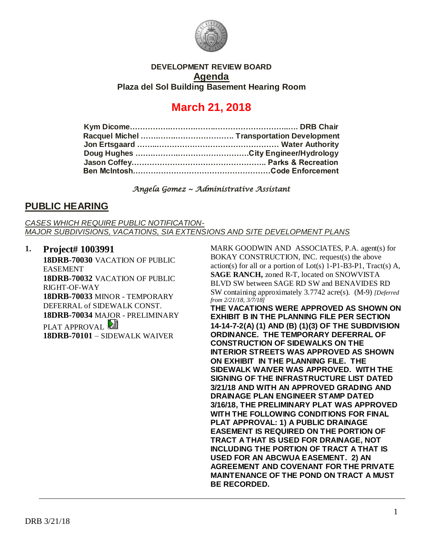

### **DEVELOPMENT REVIEW BOARD Agenda Plaza del Sol Building Basement Hearing Room**

# **March 21, 2018**

#### *Angela Gomez ~ Administrative Assistant*

### **PUBLIC HEARING**

*CASES WHICH REQUIRE PUBLIC NOTIFICATION-MAJOR SUBDIVISIONS, VACATIONS, SIA EXTENSIONS AND SITE DEVELOPMENT PLANS*

**1. Project# 1003991 18DRB-70030** VACATION OF PUBLIC EASEMENT **18DRB-70032** VACATION OF PUBLIC RIGHT-OF-WAY **18DRB-70033** MINOR - TEMPORARY DEFERRAL of SIDEWALK CONST. **18DRB-70034** MAJOR - PRELIMINARY PLAT APPROVAL **18DRB-70101** – SIDEWALK WAIVER

MARK GOODWIN AND ASSOCIATES, P.A. agent(s) for BOKAY CONSTRUCTION, INC. request(s) the above action(s) for all or a portion of Lot(s)  $1-P1-B3-P1$ , Tract(s) A, **SAGE RANCH,** zoned R-T, located on SNOWVISTA BLVD SW between SAGE RD SW and BENAVIDES RD SW containing approximately 3.7742 acre(s). (M-9) *[Deferred from 2/21/18, 3/7/18]*

**THE VACATIONS WERE APPROVED AS SHOWN ON EXHIBIT B IN THE PLANNING FILE PER SECTION 14-14-7-2(A) (1) AND (B) (1)(3) OF THE SUBDIVISION ORDINANCE. THE TEMPORARY DEFERRAL OF CONSTRUCTION OF SIDEWALKS ON THE INTERIOR STREETS WAS APPROVED AS SHOWN ON EXHIBIT IN THE PLANNING FILE. THE SIDEWALK WAIVER WAS APPROVED. WITH THE SIGNING OF THE INFRASTRUCTURE LIST DATED 3/21/18 AND WITH AN APPROVED GRADING AND DRAINAGE PLAN ENGINEER STAMP DATED 3/16/18, THE PRELIMINARY PLAT WAS APPROVED WITH THE FOLLOWING CONDITIONS FOR FINAL PLAT APPROVAL: 1) A PUBLIC DRAINAGE EASEMENT IS REQUIRED ON THE PORTION OF TRACT A THAT IS USED FOR DRAINAGE, NOT INCLUDING THE PORTION OF TRACT A THAT IS USED FOR AN ABCWUA EASEMENT. 2) AN AGREEMENT AND COVENANT FOR THE PRIVATE MAINTENANCE OF THE POND ON TRACT A MUST BE RECORDED.**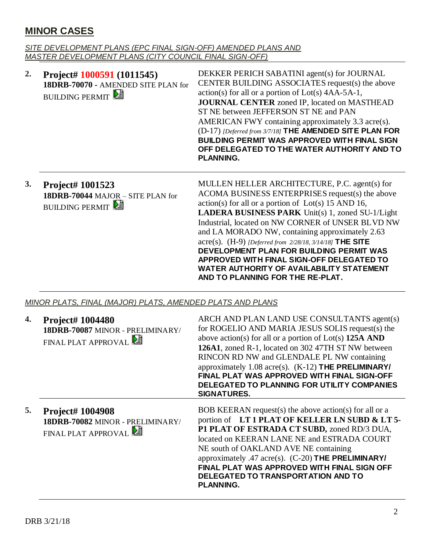## **MINOR CASES**

*SITE DEVELOPMENT PLANS (EPC FINAL SIGN-OFF) AMENDED PLANS AND MASTER DEVELOPMENT PLANS (CITY COUNCIL FINAL SIGN-OFF)*

| 2. | Project# 1000591 (1011545)<br>18DRB-70070 - AMENDED SITE PLAN for<br><b>BUILDING PERMIT</b> | DEKKER PERICH SABATINI agent(s) for JOURNAL<br>CENTER BUILDING ASSOCIATES request(s) the above<br>$action(s)$ for all or a portion of $Lot(s)$ 4AA-5A-1,<br><b>JOURNAL CENTER zoned IP, located on MASTHEAD</b><br>ST NE between JEFFERSON ST NE and PAN<br>AMERICAN FWY containing approximately 3.3 acre(s).<br>(D-17) [Deferred from 3/7/18] THE AMENDED SITE PLAN FOR<br><b>BUILDING PERMIT WAS APPROVED WITH FINAL SIGN</b><br>OFF DELEGATED TO THE WATER AUTHORITY AND TO<br><b>PLANNING.</b>                                                                  |
|----|---------------------------------------------------------------------------------------------|----------------------------------------------------------------------------------------------------------------------------------------------------------------------------------------------------------------------------------------------------------------------------------------------------------------------------------------------------------------------------------------------------------------------------------------------------------------------------------------------------------------------------------------------------------------------|
| 3. | Project# 1001523<br>18DRB-70044 MAJOR - SITE PLAN for<br><b>BUILDING PERMIT</b>             | MULLEN HELLER ARCHITECTURE, P.C. agent(s) for<br>ACOMA BUSINESS ENTERPRISES request(s) the above<br>$action(s)$ for all or a portion of $Lot(s)$ 15 AND 16,<br><b>LADERA BUSINESS PARK</b> Unit(s) 1, zoned SU-1/Light<br>Industrial, located on NW CORNER of UNSER BLVD NW<br>and LA MORADO NW, containing approximately 2.63<br>acre(s). (H-9) [Deferred from 2/28/18, 3/14/18] THE SITE<br>DEVELOPMENT PLAN FOR BUILDING PERMIT WAS<br>APPROVED WITH FINAL SIGN-OFF DELEGATED TO<br>WATER AUTHORITY OF AVAILABILITY STATEMENT<br>AND TO PLANNING FOR THE RE-PLAT. |

*MINOR PLATS, FINAL (MAJOR) PLATS, AMENDED PLATS AND PLANS*

| 4. | Project# 1004480<br>18DRB-70087 MINOR - PRELIMINARY/<br>FINAL PLAT APPROVAL        | ARCH AND PLAN LAND USE CONSULTANTS agent(s)<br>for ROGELIO AND MARIA JESUS SOLIS request(s) the<br>above action(s) for all or a portion of $Lot(s)$ 125A AND<br>126A1, zoned R-1, located on 302 47TH ST NW between<br>RINCON RD NW and GLENDALE PL NW containing<br>approximately 1.08 acre(s). (K-12) THE PRELIMINARY/<br>FINAL PLAT WAS APPROVED WITH FINAL SIGN-OFF<br>DELEGATED TO PLANNING FOR UTILITY COMPANIES<br><b>SIGNATURES.</b> |
|----|------------------------------------------------------------------------------------|----------------------------------------------------------------------------------------------------------------------------------------------------------------------------------------------------------------------------------------------------------------------------------------------------------------------------------------------------------------------------------------------------------------------------------------------|
| 5. | <b>Project# 1004908</b><br>18DRB-70082 MINOR - PRELIMINARY/<br>FINAL PLAT APPROVAL | BOB KEERAN request(s) the above action(s) for all or a<br>portion of LT1 PLAT OF KELLER LN SUBD & LT5-<br>P1 PLAT OF ESTRADA CT SUBD, zoned RD/3 DUA,<br>located on KEERAN LANE NE and ESTRADA COURT<br>NE south of OAKLAND AVE NE containing<br>approximately .47 acre(s). (C-20) THE PRELIMINARY/<br>FINAL PLAT WAS APPROVED WITH FINAL SIGN OFF<br>DELEGATED TO TRANSPORTATION AND TO<br><b>PLANNING.</b>                                 |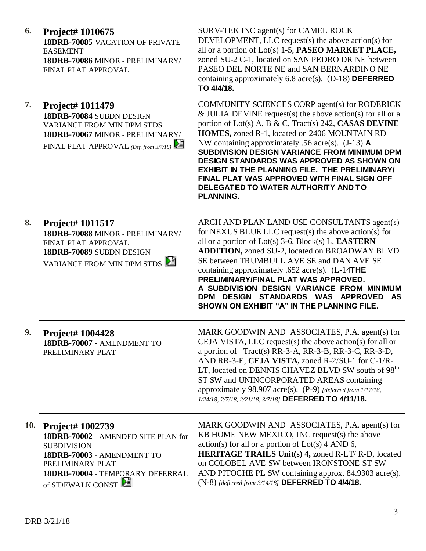| 6.         | Project# 1010675<br><b>18DRB-70085 VACATION OF PRIVATE</b><br><b>EASEMENT</b><br>18DRB-70086 MINOR - PRELIMINARY/<br>FINAL PLAT APPROVAL                                                 | SURV-TEK INC agent(s) for CAMEL ROCK<br>DEVELOPMENT, LLC request(s) the above action(s) for<br>all or a portion of Lot(s) 1-5, PASEO MARKET PLACE,<br>zoned SU-2 C-1, located on SAN PEDRO DR NE between<br>PASEO DEL NORTE NE and SAN BERNARDINO NE<br>containing approximately $6.8$ acre(s). (D-18) DEFERRED<br>TO 4/4/18.                                                                                                                                                                                                                                      |
|------------|------------------------------------------------------------------------------------------------------------------------------------------------------------------------------------------|--------------------------------------------------------------------------------------------------------------------------------------------------------------------------------------------------------------------------------------------------------------------------------------------------------------------------------------------------------------------------------------------------------------------------------------------------------------------------------------------------------------------------------------------------------------------|
| 7.         | Project# 1011479<br>18DRB-70084 SUBDN DESIGN<br><b>VARIANCE FROM MIN DPM STDS</b><br>18DRB-70067 MINOR - PRELIMINARY/<br>FINAL PLAT APPROVAL (Def. from 3/7/18)                          | <b>COMMUNITY SCIENCES CORP agent(s) for RODERICK</b><br>& JULIA DEVINE request(s) the above action(s) for all or a<br>portion of Lot(s) A, B & C, Tract(s) 242, CASAS DEVINE<br>HOMES, zoned R-1, located on 2406 MOUNTAIN RD<br>NW containing approximately .56 acre(s). $(J-13)$ A<br><b>SUBDIVISION DESIGN VARIANCE FROM MINIMUM DPM</b><br><b>DESIGN STANDARDS WAS APPROVED AS SHOWN ON</b><br><b>EXHIBIT IN THE PLANNING FILE. THE PRELIMINARY/</b><br>FINAL PLAT WAS APPROVED WITH FINAL SIGN OFF<br>DELEGATED TO WATER AUTHORITY AND TO<br><b>PLANNING.</b> |
| 8.         | Project# 1011517<br>18DRB-70088 MINOR - PRELIMINARY/<br>FINAL PLAT APPROVAL<br>18DRB-70089 SUBDN DESIGN<br>VARIANCE FROM MIN DPM STDS                                                    | ARCH AND PLAN LAND USE CONSULTANTS agent(s)<br>for NEXUS BLUE LLC request(s) the above action(s) for<br>all or a portion of $Lot(s)$ 3-6, $Block(s) L$ , <b>EASTERN</b><br><b>ADDITION, zoned SU-2, located on BROADWAY BLVD</b><br>SE between TRUMBULL AVE SE and DAN AVE SE<br>containing approximately .652 acre(s). $(L-14THE)$<br>PRELIMINARY/FINAL PLAT WAS APPROVED.<br>A SUBDIVISION DESIGN VARIANCE FROM MINIMUM<br>DPM DESIGN STANDARDS WAS APPROVED<br>AS.<br>SHOWN ON EXHIBIT "A" IN THE PLANNING FILE.                                                |
| 9.         | Project# 1004428<br>18DRB-70007 - AMENDMENT TO<br>PRELIMINARY PLAT                                                                                                                       | MARK GOODWIN AND ASSOCIATES, P.A. agent(s) for<br>CEJA VISTA, LLC request(s) the above action(s) for all or<br>a portion of Tract(s) RR-3-A, RR-3-B, RR-3-C, RR-3-D,<br>AND RR-3-E, CEJA VISTA, zoned R-2/SU-1 for C-1/R-<br>LT, located on DENNIS CHAVEZ BLVD SW south of 98 <sup>th</sup><br>ST SW and UNINCORPORATED AREAS containing<br>approximately 98.907 acre(s). (P-9) [deferred from 1/17/18,<br>1/24/18, 2/7/18, 2/21/18, 3/7/18] DEFERRED TO 4/11/18.                                                                                                  |
| <b>10.</b> | Project# 1002739<br>18DRB-70002 - AMENDED SITE PLAN for<br><b>SUBDIVISION</b><br>18DRB-70003 - AMENDMENT TO<br>PRELIMINARY PLAT<br>18DRB-70004 - TEMPORARY DEFERRAL<br>of SIDEWALK CONST | MARK GOODWIN AND ASSOCIATES, P.A. agent(s) for<br>KB HOME NEW MEXICO, INC request(s) the above<br>$action(s)$ for all or a portion of $Lot(s)$ 4 AND 6,<br><b>HERITAGE TRAILS Unit(s) 4, zoned R-LT/ R-D, located</b><br>on COLOBEL AVE SW between IRONSTONE ST SW<br>AND PITOCHE PL SW containing approx. 84.9303 acre(s).<br>$(N-8)$ [deferred from 3/14/18] DEFERRED TO 4/4/18.                                                                                                                                                                                 |